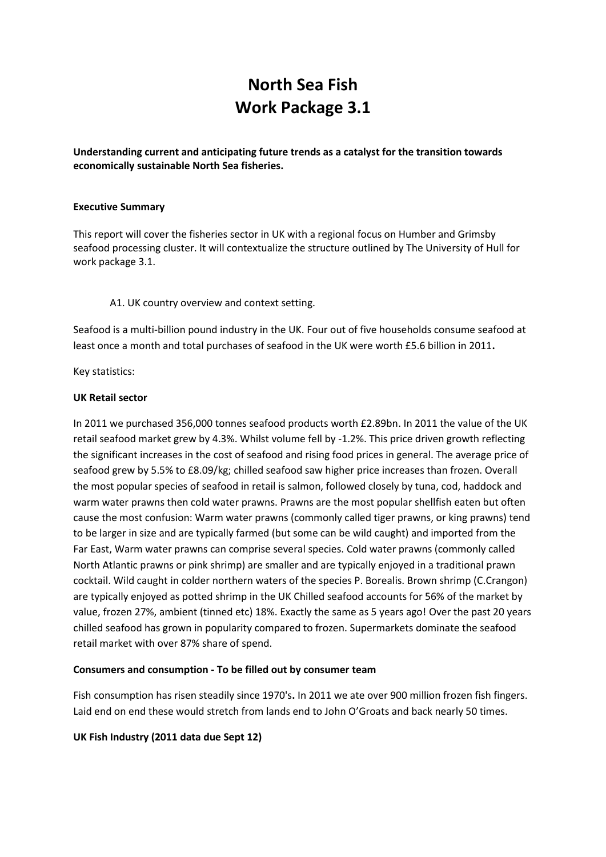# **North Sea Fish Work Package 3.1**

**Understanding current and anticipating future trends as a catalyst for the transition towards economically sustainable North Sea fisheries.**

## **Executive Summary**

This report will cover the fisheries sector in UK with a regional focus on Humber and Grimsby seafood processing cluster. It will contextualize the structure outlined by The University of Hull for work package 3.1.

A1. UK country overview and context setting.

Seafood is a multi-billion pound industry in the UK. Four out of five households consume seafood at least once a month and total purchases of seafood in the UK were worth £5.6 billion in 2011**.**

Key statistics:

## **UK Retail sector**

In 2011 we purchased 356,000 tonnes seafood products worth £2.89bn. In 2011 the value of the UK retail seafood market grew by 4.3%. Whilst volume fell by -1.2%. This price driven growth reflecting the significant increases in the cost of seafood and rising [food](http://www.seafish.org/about-seafish/seafood-industry-overview-) prices in general. The average price of seafood grew by 5.5% to £8.09/kg; chilled seafood saw higher price increases than frozen. Overall the most popular species of seafood in retail is salmon, followed closely by tuna, cod, haddock and warm water prawns then cold water prawns. Prawns are the most popular shellfish eaten but often cause the most confusion: Warm water prawns (commonly called tiger prawns, or king prawns) tend to be larger in size and are typically farmed (but some can be wild caught) and imported from the Far East, Warm water prawns can comprise several species. Cold water prawns (commonly called North Atlantic prawns or pink shrimp) are smaller and are typically enjoyed in a traditional prawn cocktail. Wild caught in colder northern waters of the species P. Borealis. Brown shrimp (C.Crangon) are typically enjoyed as potted shrimp in the UK Chilled seafood accounts for 56% of the market by value, frozen 27%, ambient (tinned etc) 18%. Exactly the same as 5 years ago! Over the past 20 years chilled seafood has grown in popularity compared to frozen. Supermarkets dominate the seafood retail market with over 87% share of spend.

## **Consumers and consumption - To be filled out by consumer team**

Fish consumption has risen steadily since 1970's**.** In 2011 we ate over 900 million frozen fish fingers. Laid end on end these would stretch from lands end to John O'Groats and back nearly 50 times.

## **UK Fish Industry (2011 data due Sept 12)**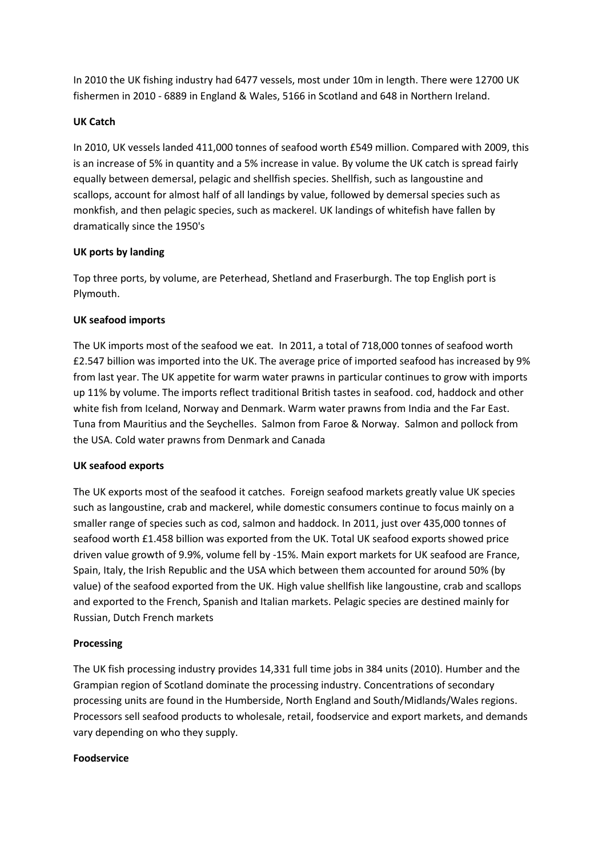In 2010 the UK fishing industry had 6477 vessels, most under 10m in length. There were 12700 UK fishermen in 2010 - 6889 in England & Wales, 5166 in Scotland and 648 in Northern Ireland.

## **UK Catch**

In 2010, UK vessels landed 411,000 tonnes of seafood worth £549 million. Compared with 2009, this is an increase of 5% in quantity and a 5% increase in value. By volume the UK catch is spread fairly equally between demersal, pelagic and shellfish species. Shellfish, such as langoustine and scallops, [account](http://www.seafish.org/about-seafish/seafood-industry-overview-) for almost half of all landings by value, followed by demersal species such as monkfish, and then pelagic species, such as mackerel. UK landings of whitefish have fallen by dramatically since the 1950's

## **UK ports by landing**

Top three ports, by volume, are Peterhead, Shetland and Fraserburgh. The top English port is Plymouth.

## **UK seafood imports**

The UK imports most of the seafood we eat. In 2011, a total of 718,000 tonnes of seafood worth £2.547 billion was imported into the UK. The average price of imported seafood has increased by 9% from last year. The UK appetite for warm water prawns in particular continues to grow with imports up 11% by volume. The imports reflect traditional British tastes in seafood. cod, haddock and other white fish from Iceland, Norway and Denmark. Warm water prawns from India and the Far East. Tuna from Mauritius and the Seychelles. Salmon from Faroe & Norway. Salmon and pollock from the USA. Cold water prawns from Denmark and Canada

## **UK seafood exports**

The UK exports most of the seafood it catches. Foreign seafood markets greatly value UK species such as langoustine, crab and mackerel, while domestic consumers continue to focus mainly on a smaller range of species such as cod, salmon and haddock. In 2011, just over 435,000 tonnes of seafood worth £1.458 billion was exported from the UK. Total UK seafood exports showed price driven value growth of 9.9%, volume fell by -15%. Main export markets for UK seafood are France, Spain, Italy, the Irish Republic and the USA which between them accounted for around 50% (by value) of the seafood exported from the UK. High value shellfish like langoustine, crab and scallops and exported to the French, Spanish and Italian markets. Pelagic species are destined mainly for Russian, Dutch French markets

## **Processing**

The UK fish processing industry provides 14,331 full time jobs in 384 units (2010). Humber and the Grampian region of Scotland dominate the processing industry. Concentrations of secondary processing units are found in the Humberside, North England and South/Midlands/Wales regions. Processors sell seafood products to wholesale, retail, foodservice and export markets, and demands vary depending on who they supply.

## **Foodservice**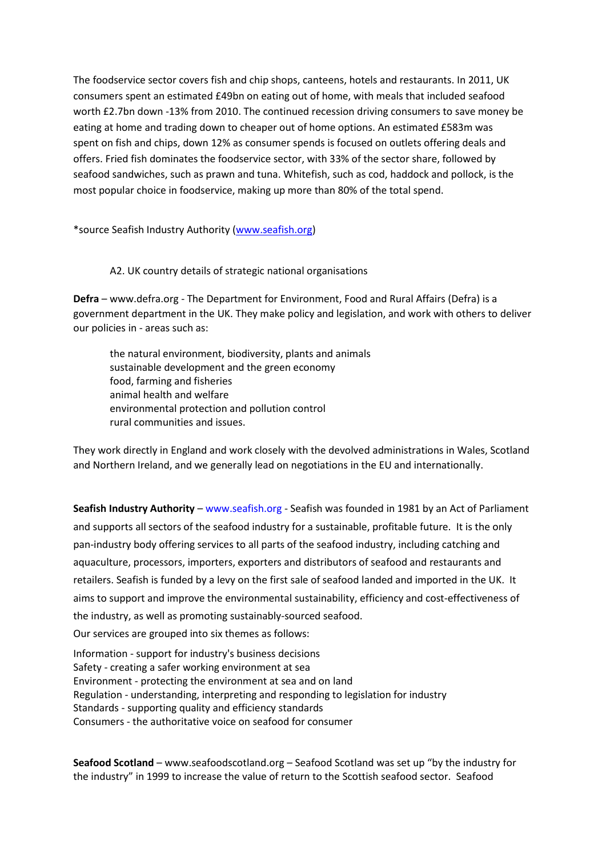The foodservice sector covers fish and chip shops, canteens, hotels and restaurants. In 2011, UK consumers spent an estimated £49bn on eating out of home, with meals that included seafood worth £2.7bn down -13% from 2010. The continued recession driving consumers to save money be eating at home and trading down to cheaper out of home options. An estimated £583m was spent on fish and chips, down 12% as consumer spends is focused on outlets offering deals and offers. Fried fish dominates the foodservice sector, with 33% of the sector share, followed by seafood sandwiches, such as prawn and tuna. Whitefish, such as cod, haddock and pollock, is the most popular choice in foodservice, making up more than 80% of the total spend.

\*source Seafish Industry Authority [\(www.seafish.org\)](http://www.seafish.org/)

## A2. UK country details of strategic national organisations

**Defra** – [www.defra.org](http://www.defra.org/) - The Department for Environment, [Food](http://www.defra.gov.uk/corporate/) and Rural Affairs (Defra) is a government department in the UK. They make policy and legislation, and work with others to deliver our policies in - areas such as:

the natural environment, biodiversity, plants and animals sustainable development and the green economy food, farming and fisheries animal health and welfare environmental protection and [pollution control](http://www.defra.gov.uk/corporate/) rural communities and issues.

They work directly in England and work closely with the devolved administrations in Wales, Scotland and Northern Ireland, and we generally lead on negotiations in the EU and internationally.

**Seafish Industry Authority** – [www.seafish.org](http://www.seafish.org/) - Seafish was founded in 1981 by an Act of Parliament and supports all sectors of the seafood industry for a sustainable, profitable future. It is the only pan-industry body offering services to all parts of the seafood industry, including catching and aquaculture, processors, importers, exporters and distributors of seafood and [restaurants](http://www.seafish.org/about-seafish/) and retailers. Seafish is funded by a levy on the first sale of seafood landed and imported in the UK. It aims to support and improve the [environmental](http://www.seafish.org/about-seafish/) sustainability, efficiency and cost-effectiveness of the industry, as well as promoting sustainably-sourced seafood. Our services are grouped into six themes as follows:

Information - support for industry's business decisions Safety - creating a safer working environment at sea Environment - protecting the environment at sea and on land Regulation - understanding, interpreting and responding to legislation for industry Standards - supporting quality and efficiency standards Consumers - the authoritative voice on seafood for consumer

**Seafood Scotland** – [www.seafoodscotland.org](http://www.seafoodscotland.org/) – Seafood Scotland was set up "by the industry for the industry" in 1999 to increase the value of [return](http://www.seafoodscotland.org/) to the Scottish seafood sector. Seafood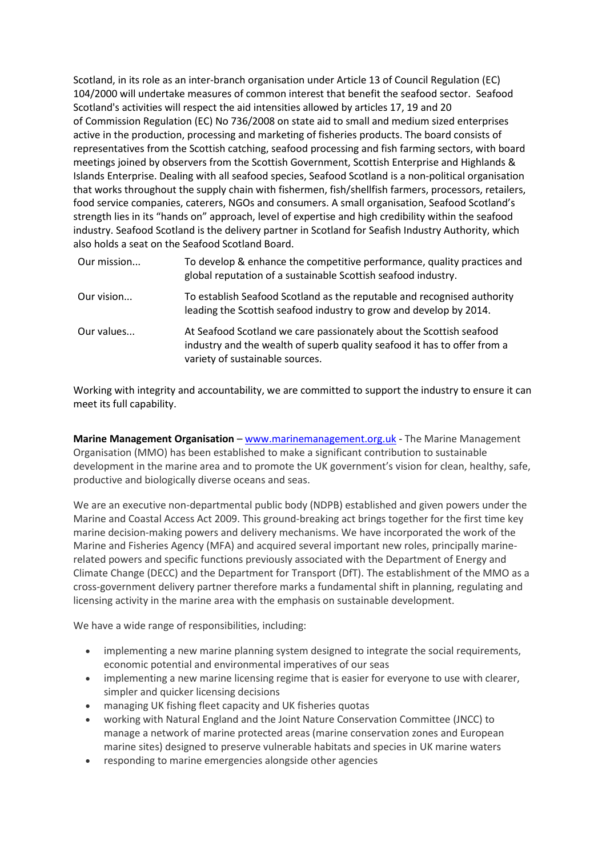Scotland, in its role as an inter-branch organisation under Article 13 of Council Regulation [\(EC\)](http://www.seafoodscotland.org/glossary/1/10/ec) 104/2000 will undertake measures of common interest that benefit the seafood sector. Seafood Scotland's activities will respect the aid intensities allowed by articles 17, 19 and 20 of [Commission](http://www.seafoodscotland.org/) Regulation [\(EC\)](http://www.seafoodscotland.org/glossary/1/10/ec) No 736/2008 on state aid to small and medium sized enterprises active in the production, processing and marketing of fisheries products. The board consists of representatives from the Scottish catching, seafood processing and fish farming sectors, with board meetings joined by observers from the Scottish Government, Scottish Enterprise and Highlands & Islands Enterprise. Dealing with all seafood species, Seafood Scotland is a non-political organisation that works throughout the supply chain with fishermen, fish/shellfish farmers, processors, retailers, food service companies, [caterers,](http://www.seafoodscotland.org/) NGOs and consumers. A small organisation, Seafood Scotland's strength lies in its "hands on" approach, level of expertise and high credibility within the seafood industry. Seafood Scotland is the delivery partner in Scotland for Seafish Industry Authority, which also holds a seat on the Seafood Scotland Board.

| Our mission | To develop & enhance the competitive performance, quality practices and<br>global reputation of a sustainable Scottish seafood industry.                                           |
|-------------|------------------------------------------------------------------------------------------------------------------------------------------------------------------------------------|
| Our vision  | To establish Seafood Scotland as the reputable and recognised authority<br>leading the Scottish seafood industry to grow and develop by 2014.                                      |
| Our values  | At Seafood Scotland we care passionately about the Scottish seafood<br>industry and the wealth of superb quality seafood it has to offer from a<br>variety of sustainable sources. |

Working with integrity and accountability, we are committed to support the industry to ensure it can meet its full capability.

**Marine Management Organisation** – [www.marinemanagement.org.uk](http://www.marinemanagement.org.uk/) - The Marine Management Organisation (MMO) has been established to make a significant contribution to sustainable development in the marine area and to promote the UK government's vision for clean, healthy, safe, productive and biologically diverse oceans and seas.

We are an executive non-departmental public body (NDPB) established and given powers under the Marine and Coastal Access Act 2009. This ground-breaking act brings together for the first time key marine decision-making powers and delivery mechanisms. We have incorporated the work of the Marine and Fisheries Agency (MFA) and acquired several important new roles, principally marinerelated powers and specific functions previously associated with the Department of Energy and Climate Change (DECC) and the Department for Transport (DfT). The establishment of the MMO as a cross-government delivery partner therefore marks a fundamental shift in planning, regulating and licensing activity in the marine area with the emphasis on sustainable development.

We have a wide range of responsibilities, including:

- implementing a new marine planning system designed to integrate the social requirements, economic potential and environmental imperatives of our seas
- implementing a new marine licensing regime that is easier for everyone to use with clearer, simpler and quicker licensing decisions
- managing UK fishing fleet capacity and UK fisheries quotas
- working with Natural England and the Joint Nature Conservation Committee (JNCC) to manage a network of marine protected areas (marine conservation zones and European marine sites) designed to preserve vulnerable habitats and species in UK marine waters
- responding to marine emergencies alongside other agencies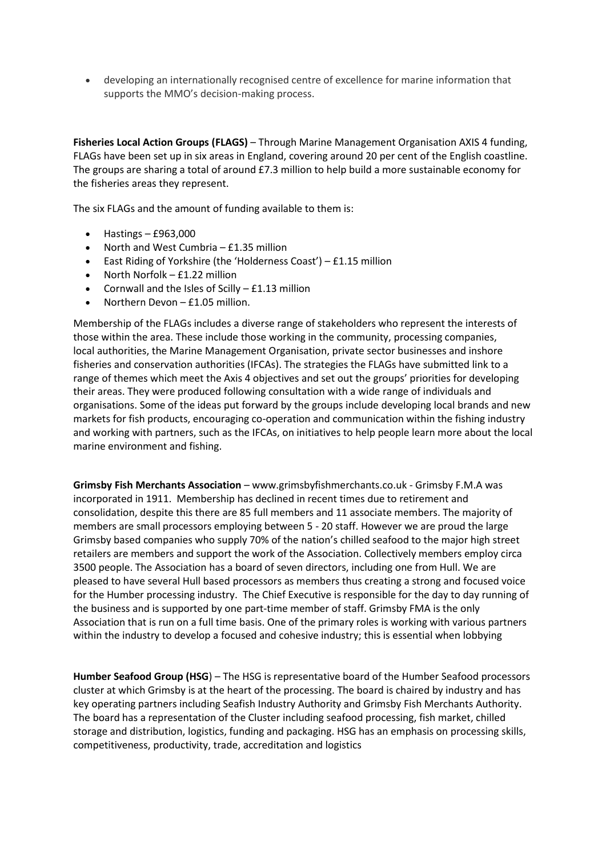developing an internationally recognised centre of excellence for marine information that supports the MMO's decision-making process.

**Fisheries Local Action Groups (FLAGS)** – Through Marine Management Organisation AXIS 4 funding, FLAGs have been set up in six areas in England, covering around 20 per cent of the English coastline. The groups are sharing a total of around £7.3 million to help build a more sustainable economy for the fisheries areas they represent.

The six FLAGs and the amount of funding available to them is:

- Hastings £963,000
- North and West Cumbria £1.35 million
- East Riding of Yorkshire (the 'Holderness Coast') £1.15 million
- North Norfolk £1.22 million
- Cornwall and the Isles of Scilly £1.13 million
- Northern Devon £1.05 million.

Membership of the FLAGs includes a diverse range of stakeholders who represent the interests of those within the area. These include those working in the community, processing companies, local authorities, the Marine Management Organisation, private sector businesses and inshore fisheries and conservation authorities (IFCAs). The strategies the FLAGs have submitted link to a range of themes which meet the Axis 4 objectives and set out the groups' priorities for developing their areas. They were produced [following](http://www.marinemanagement.org.uk/fisheries/funding/eff_axis4.htm) consultation with a wide range of individuals and organisations. Some of the ideas put forward by the groups include developing local brands and new markets for fish products, encouraging co-operation and communication within the fishing industry and working with partners, such as the IFCAs, on initiatives to help people learn more about the local marine environment and fishing.

**Grimsby Fish Merchants Association** – www.grimsbyfishmerchants.co.uk - Grimsby F.M.A was incorporated in 1911. Membership has declined in recent times due to retirement and [consolidation,](http://www.grimsbyfishmerchants.co.uk/) despite this there are 85 full members and 11 associate members. The majority of members are small processors employing between 5 - 20 staff. However we are proud the large Grimsby based companies who supply 70% of the nation's chilled seafood to the major high street retailers are members and support the work of the Association. Collectively members employ circa 3500 people. The Association has a board of seven directors, including one from Hull. We are pleased to have several Hull based processors as members thus creating a strong and focused voice for the Humber processing industry. The Chief Executive is responsible for the day to day running of the business and is supported by one part-time member of staff. Grimsby FMA is the only Association that is run on a full time basis. One of the primary roles is working with various partners within the industry to develop a focused and cohesive industry; this is essential when lobbying

**Humber Seafood Group (HSG**) – The HSG is representative board of the Humber Seafood processors cluster at which Grimsby is at the heart of the processing. The board is chaired by industry and has key operating partners including Seafish Industry Authority and Grimsby Fish Merchants Authority. The board has a representation of the Cluster including seafood processing, fish market, chilled storage and distribution, logistics, funding and packaging. HSG has an emphasis on processing skills, competitiveness, productivity, trade, accreditation and logistics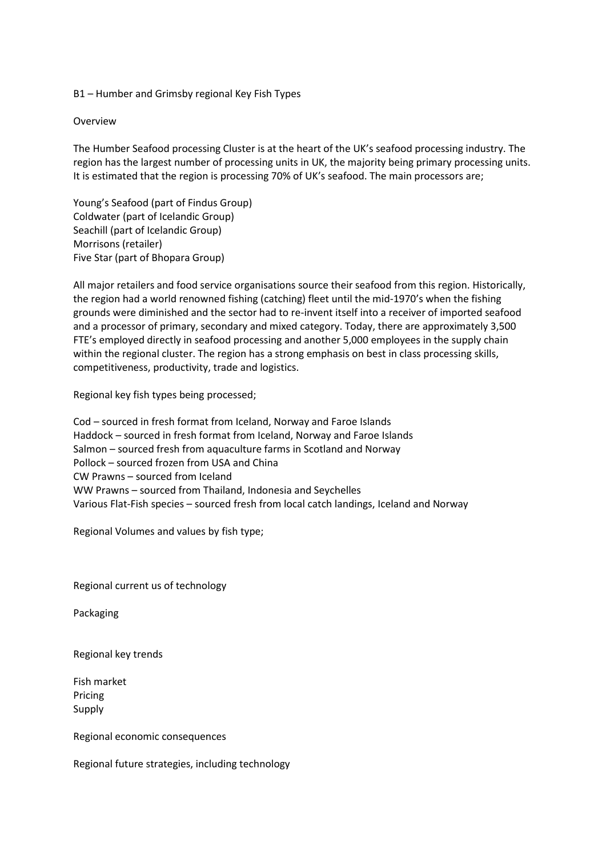B1 – Humber and Grimsby regional Key Fish Types

#### Overview

The Humber Seafood processing Cluster is at the heart of the UK's seafood processing industry. The region has the largest number of processing units in UK, the majority being primary processing units. It is estimated that the region is processing 70% of UK's seafood. The main processors are;

Young's Seafood (part of Findus Group) Coldwater (part of Icelandic Group) Seachill (part of Icelandic Group) Morrisons (retailer) Five Star (part of Bhopara Group)

All major retailers and food service organisations source their seafood from this region. Historically, the region had a world renowned fishing (catching) fleet until the mid-1970's when the fishing grounds were diminished and the sector had to re-invent itself into a receiver of imported seafood and a processor of primary, secondary and mixed category. Today, there are approximately 3,500 FTE's employed directly in seafood processing and another 5,000 employees in the supply chain within the regional cluster. The region has a strong emphasis on best in class processing skills, competitiveness, productivity, trade and logistics.

Regional key fish types being processed;

Cod – sourced in fresh format from Iceland, Norway and Faroe Islands Haddock – sourced in fresh format from Iceland, Norway and Faroe Islands Salmon – sourced fresh from aquaculture farms in Scotland and Norway Pollock – sourced frozen from USA and China CW Prawns – sourced from Iceland WW Prawns – sourced from Thailand, Indonesia and Seychelles Various Flat-Fish species – sourced fresh from local catch landings, Iceland and Norway

Regional Volumes and values by fish type;

Regional current us of technology

Packaging

Regional key trends

Fish market Pricing Supply

Regional economic consequences

Regional future strategies, including technology